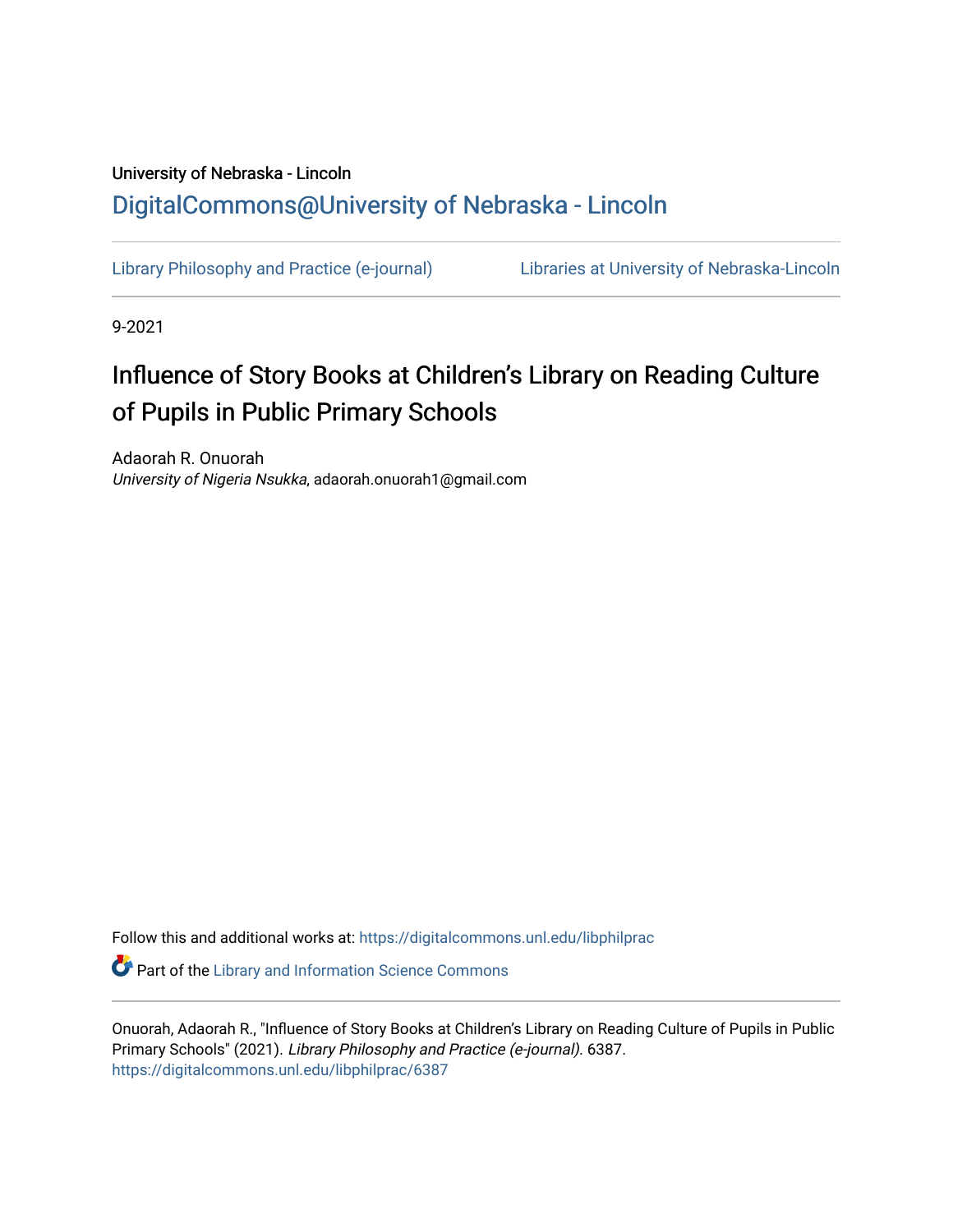## University of Nebraska - Lincoln [DigitalCommons@University of Nebraska - Lincoln](https://digitalcommons.unl.edu/)

[Library Philosophy and Practice \(e-journal\)](https://digitalcommons.unl.edu/libphilprac) [Libraries at University of Nebraska-Lincoln](https://digitalcommons.unl.edu/libraries) 

9-2021

# Influence of Story Books at Children's Library on Reading Culture of Pupils in Public Primary Schools

Adaorah R. Onuorah University of Nigeria Nsukka, adaorah.onuorah1@gmail.com

Follow this and additional works at: [https://digitalcommons.unl.edu/libphilprac](https://digitalcommons.unl.edu/libphilprac?utm_source=digitalcommons.unl.edu%2Flibphilprac%2F6387&utm_medium=PDF&utm_campaign=PDFCoverPages) 

**Part of the Library and Information Science Commons** 

Onuorah, Adaorah R., "Influence of Story Books at Children's Library on Reading Culture of Pupils in Public Primary Schools" (2021). Library Philosophy and Practice (e-journal). 6387. [https://digitalcommons.unl.edu/libphilprac/6387](https://digitalcommons.unl.edu/libphilprac/6387?utm_source=digitalcommons.unl.edu%2Flibphilprac%2F6387&utm_medium=PDF&utm_campaign=PDFCoverPages)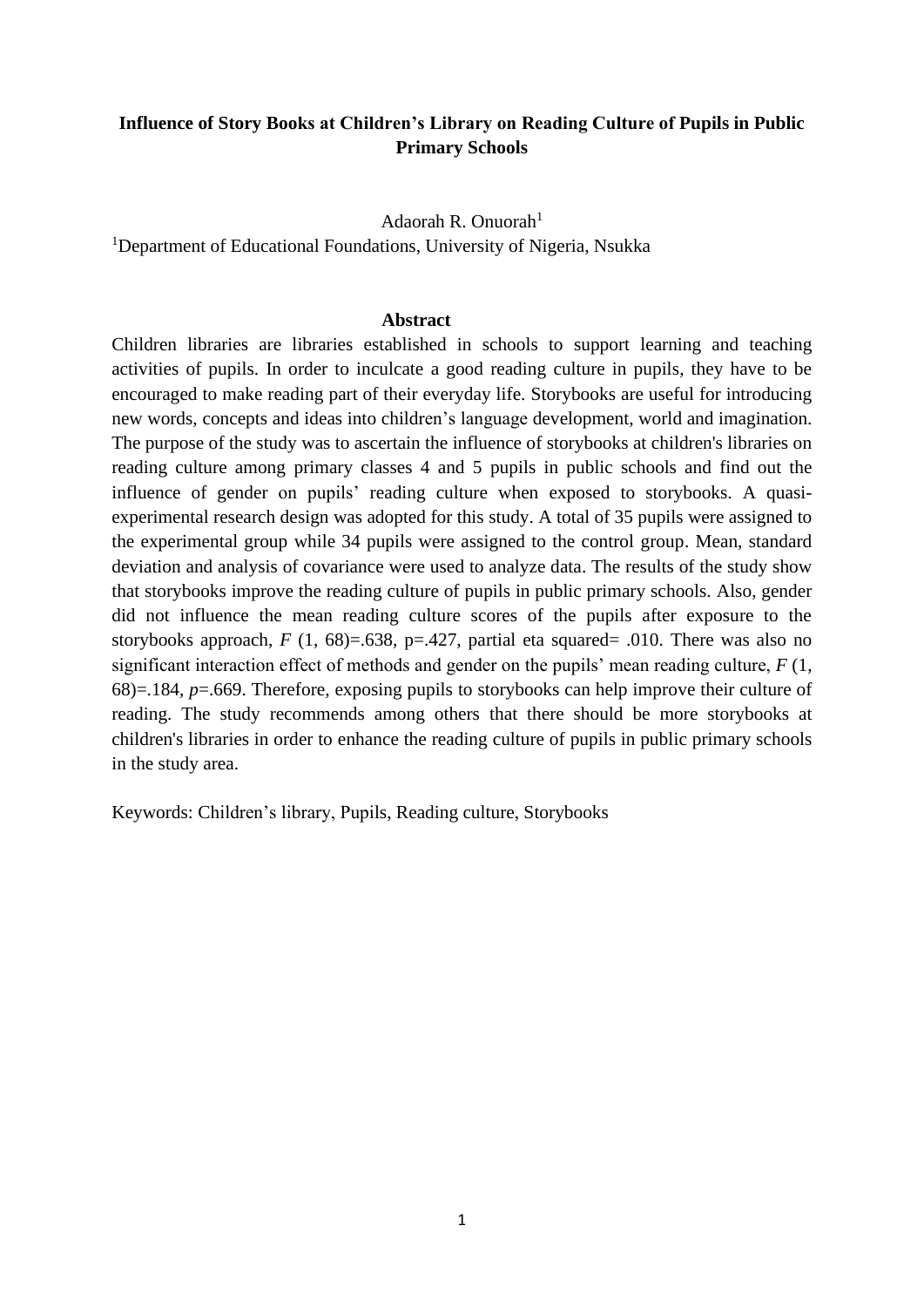### **Influence of Story Books at Children's Library on Reading Culture of Pupils in Public Primary Schools**

#### Adaorah R. Onuorah $<sup>1</sup>$ </sup>

<sup>1</sup>Department of Educational Foundations, University of Nigeria, Nsukka

#### **Abstract**

Children libraries are libraries established in schools to support learning and teaching activities of pupils. In order to inculcate a good reading culture in pupils, they have to be encouraged to make reading part of their everyday life. Storybooks are useful for introducing new words, concepts and ideas into children's language development, world and imagination. The purpose of the study was to ascertain the influence of storybooks at children's libraries on reading culture among primary classes 4 and 5 pupils in public schools and find out the influence of gender on pupils' reading culture when exposed to storybooks. A quasiexperimental research design was adopted for this study. A total of 35 pupils were assigned to the experimental group while 34 pupils were assigned to the control group. Mean, standard deviation and analysis of covariance were used to analyze data. The results of the study show that storybooks improve the reading culture of pupils in public primary schools. Also, gender did not influence the mean reading culture scores of the pupils after exposure to the storybooks approach,  $F(1, 68) = .638$ , p=.427, partial eta squared= .010. There was also no significant interaction effect of methods and gender on the pupils' mean reading culture, *F* (1, 68)=.184, *p*=.669. Therefore, exposing pupils to storybooks can help improve their culture of reading. The study recommends among others that there should be more storybooks at children's libraries in order to enhance the reading culture of pupils in public primary schools in the study area.

Keywords: Children's library, Pupils, Reading culture, Storybooks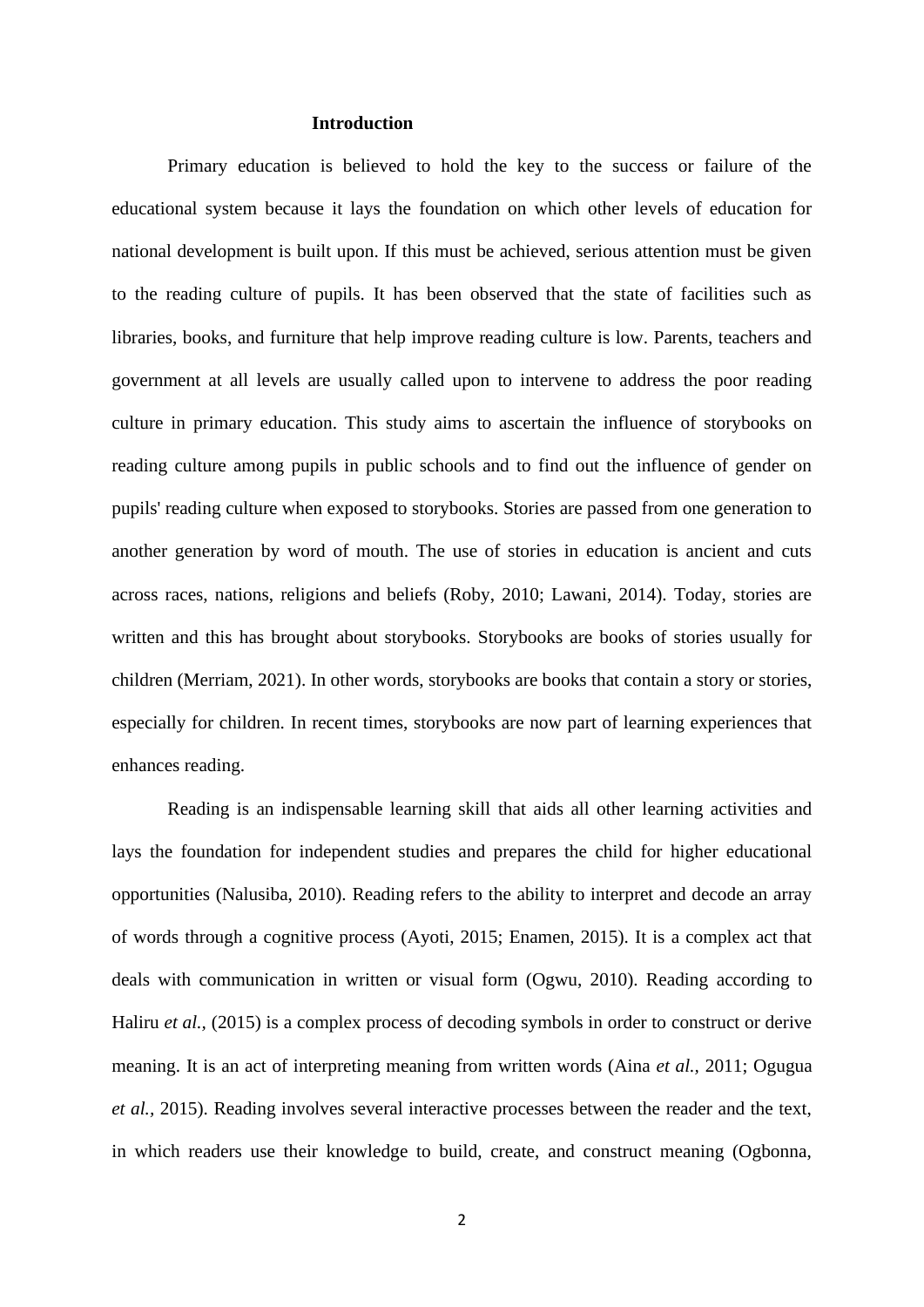#### **Introduction**

Primary education is believed to hold the key to the success or failure of the educational system because it lays the foundation on which other levels of education for national development is built upon. If this must be achieved, serious attention must be given to the reading culture of pupils. It has been observed that the state of facilities such as libraries, books, and furniture that help improve reading culture is low. Parents, teachers and government at all levels are usually called upon to intervene to address the poor reading culture in primary education. This study aims to ascertain the influence of storybooks on reading culture among pupils in public schools and to find out the influence of gender on pupils' reading culture when exposed to storybooks. Stories are passed from one generation to another generation by word of mouth. The use of stories in education is ancient and cuts across races, nations, religions and beliefs (Roby, 2010; Lawani, 2014). Today, stories are written and this has brought about storybooks. Storybooks are books of stories usually for children (Merriam, 2021). In other words, storybooks are books that contain a story or stories, especially for children. In recent times, storybooks are now part of learning experiences that enhances reading.

Reading is an indispensable learning skill that aids all other learning activities and lays the foundation for independent studies and prepares the child for higher educational opportunities (Nalusiba, 2010). Reading refers to the ability to interpret and decode an array of words through a cognitive process (Ayoti, 2015; Enamen, 2015). It is a complex act that deals with communication in written or visual form (Ogwu, 2010). Reading according to Haliru *et al.,* (2015) is a complex process of decoding symbols in order to construct or derive meaning. It is an act of interpreting meaning from written words (Aina *et al.,* 2011; Ogugua *et al.,* 2015). Reading involves several interactive processes between the reader and the text, in which readers use their knowledge to build, create, and construct meaning (Ogbonna,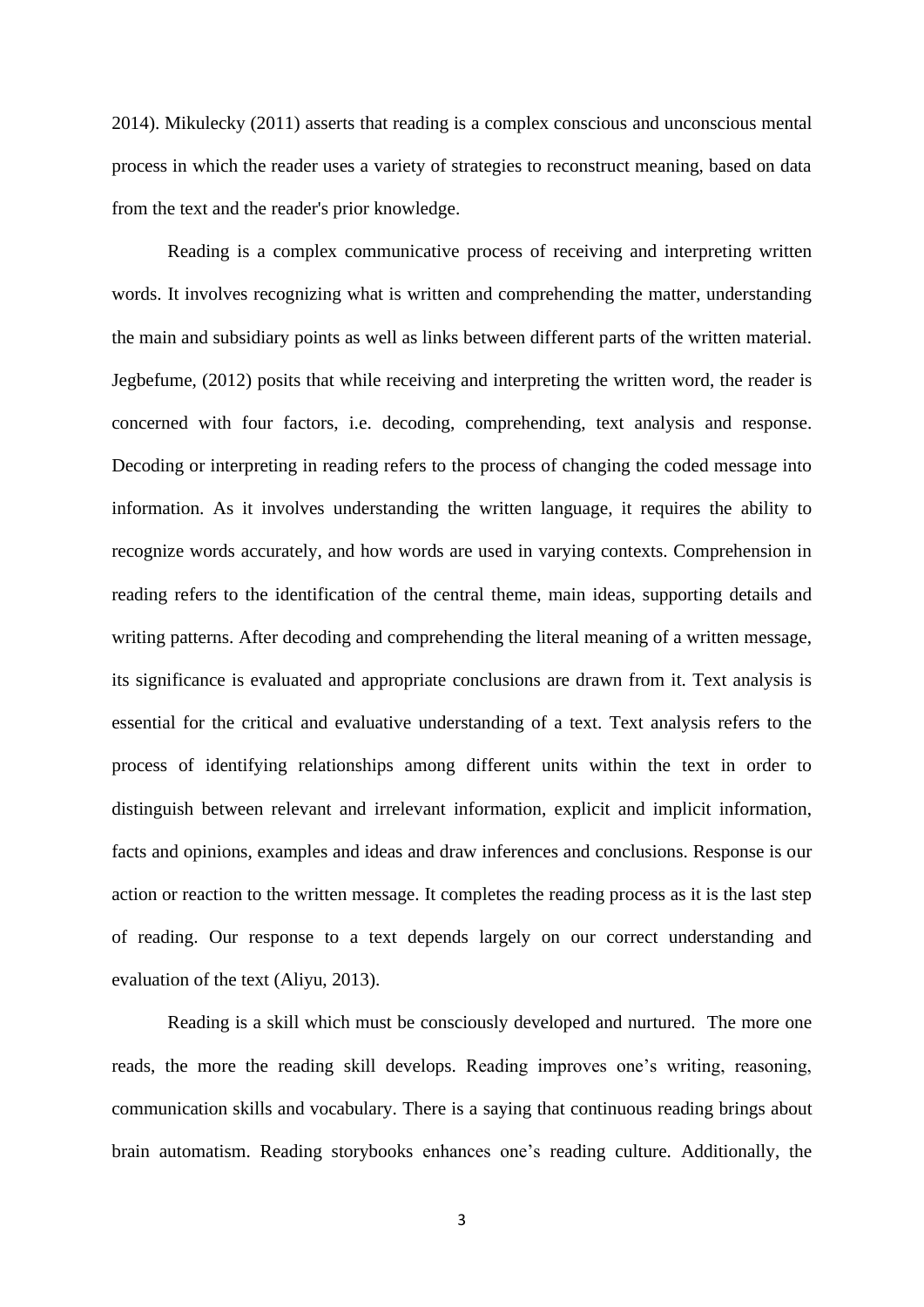2014). Mikulecky (2011) asserts that reading is a complex conscious and unconscious mental process in which the reader uses a variety of strategies to reconstruct meaning, based on data from the text and the reader's prior knowledge.

Reading is a complex communicative process of receiving and interpreting written words. It involves recognizing what is written and comprehending the matter, understanding the main and subsidiary points as well as links between different parts of the written material. Jegbefume, (2012) posits that while receiving and interpreting the written word, the reader is concerned with four factors, i.e. decoding, comprehending, text analysis and response. Decoding or interpreting in reading refers to the process of changing the coded message into information. As it involves understanding the written language, it requires the ability to recognize words accurately, and how words are used in varying contexts. Comprehension in reading refers to the identification of the central theme, main ideas, supporting details and writing patterns. After decoding and comprehending the literal meaning of a written message, its significance is evaluated and appropriate conclusions are drawn from it. Text analysis is essential for the critical and evaluative understanding of a text. Text analysis refers to the process of identifying relationships among different units within the text in order to distinguish between relevant and irrelevant information, explicit and implicit information, facts and opinions, examples and ideas and draw inferences and conclusions. Response is our action or reaction to the written message. It completes the reading process as it is the last step of reading. Our response to a text depends largely on our correct understanding and evaluation of the text (Aliyu, 2013).

Reading is a skill which must be consciously developed and nurtured. The more one reads, the more the reading skill develops. Reading improves one's writing, reasoning, communication skills and vocabulary. There is a saying that continuous reading brings about brain automatism. Reading storybooks enhances one's reading culture. Additionally, the

3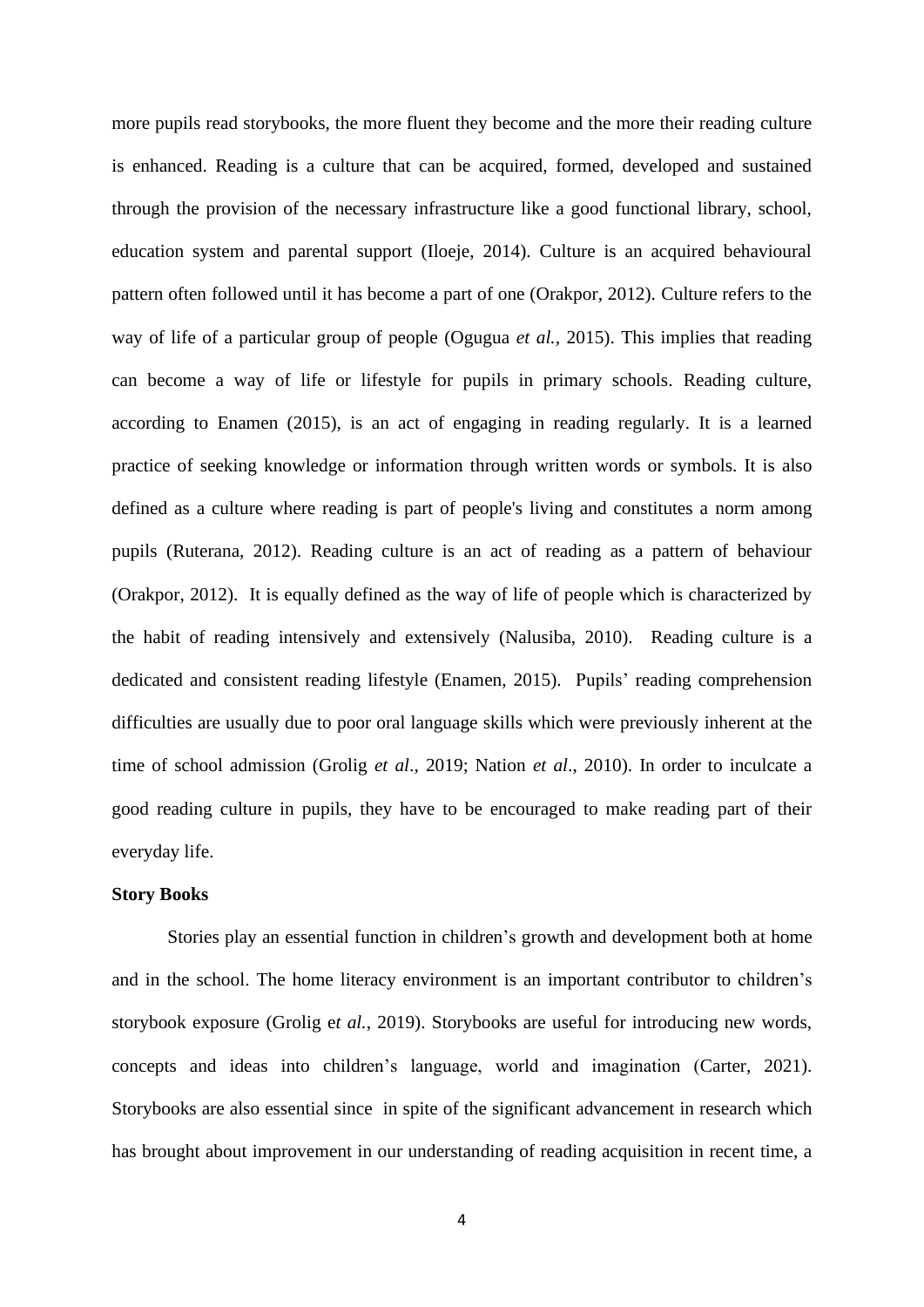more pupils read storybooks, the more fluent they become and the more their reading culture is enhanced. Reading is a culture that can be acquired, formed, developed and sustained through the provision of the necessary infrastructure like a good functional library, school, education system and parental support (Iloeje, 2014). Culture is an acquired behavioural pattern often followed until it has become a part of one (Orakpor, 2012). Culture refers to the way of life of a particular group of people (Ogugua *et al.,* 2015). This implies that reading can become a way of life or lifestyle for pupils in primary schools. Reading culture, according to Enamen (2015), is an act of engaging in reading regularly. It is a learned practice of seeking knowledge or information through written words or symbols. It is also defined as a culture where reading is part of people's living and constitutes a norm among pupils (Ruterana, 2012). Reading culture is an act of reading as a pattern of behaviour (Orakpor, 2012). It is equally defined as the way of life of people which is characterized by the habit of reading intensively and extensively (Nalusiba, 2010). Reading culture is a dedicated and consistent reading lifestyle (Enamen, 2015). Pupils' reading comprehension difficulties are usually due to poor oral language skills which were previously inherent at the time of school admission (Grolig *et al*., 2019; Nation *et al*., 2010). In order to inculcate a good reading culture in pupils, they have to be encouraged to make reading part of their everyday life.

#### **Story Books**

Stories play an essential function in children's growth and development both at home and in the school. The home literacy environment is an important contributor to children's storybook exposure (Grolig e*t al.*, 2019). Storybooks are useful for introducing new words, concepts and ideas into children's language, world and imagination (Carter, 2021). Storybooks are also essential since in spite of the significant advancement in research which has brought about improvement in our understanding of reading acquisition in recent time, a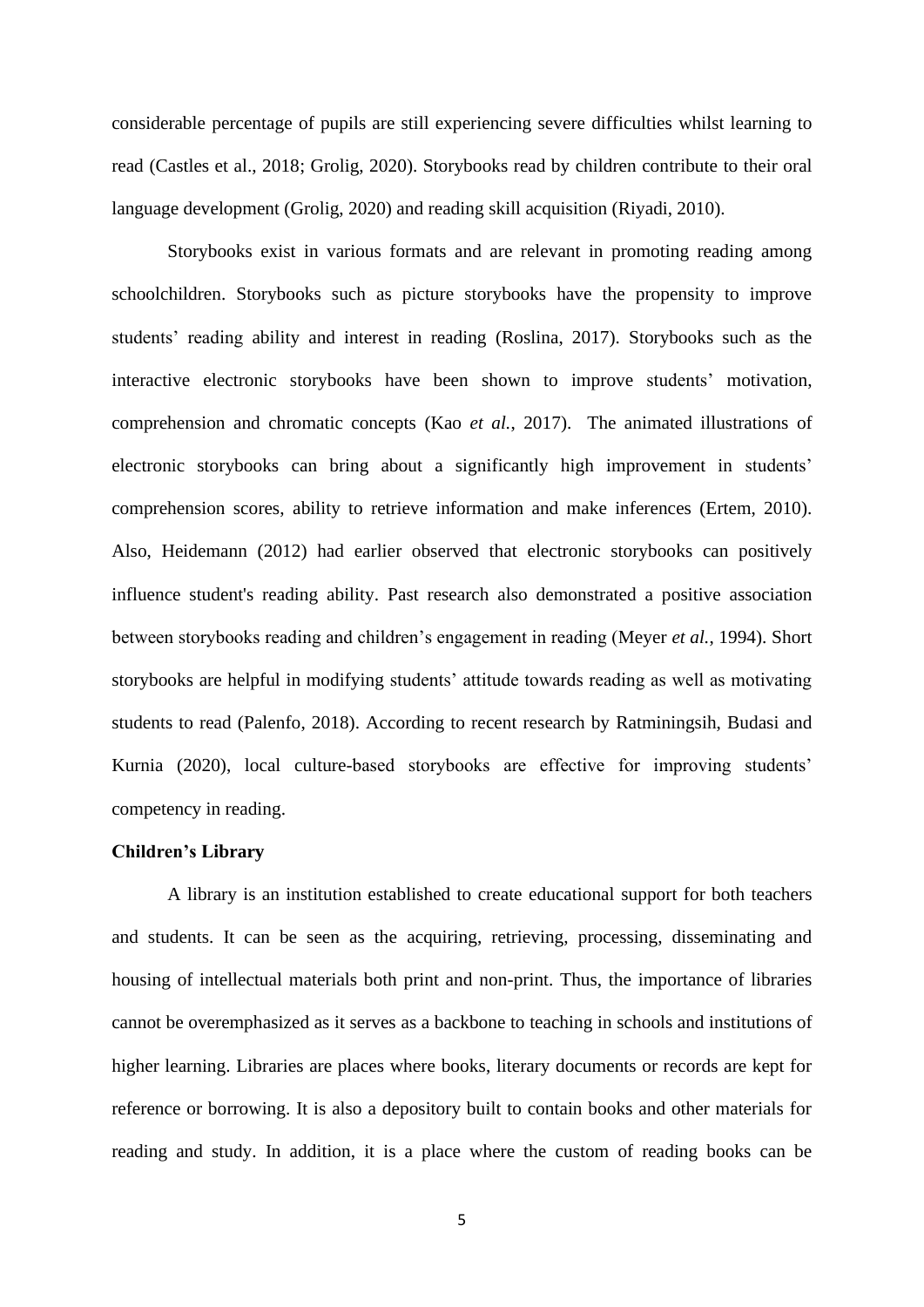considerable percentage of pupils are still experiencing severe difficulties whilst learning to read (Castles et al., 2018; Grolig, 2020). Storybooks read by children contribute to their oral language development (Grolig, 2020) and reading skill acquisition (Riyadi, 2010).

Storybooks exist in various formats and are relevant in promoting reading among schoolchildren. Storybooks such as picture storybooks have the propensity to improve students' reading ability and interest in reading (Roslina, 2017). Storybooks such as the interactive electronic storybooks have been shown to improve students' motivation, comprehension and chromatic concepts (Kao *et al.*, 2017). The animated illustrations of electronic storybooks can bring about a significantly high improvement in students' comprehension scores, ability to retrieve information and make inferences (Ertem, 2010). Also, Heidemann (2012) had earlier observed that electronic storybooks can positively influence student's reading ability. Past research also demonstrated a positive association between storybooks reading and children's engagement in reading (Meyer *et al.*, 1994). Short storybooks are helpful in modifying students' attitude towards reading as well as motivating students to read (Palenfo, 2018). According to recent research by Ratminingsih, Budasi and Kurnia (2020), local culture-based storybooks are effective for improving students' competency in reading.

#### **Children's Library**

A library is an institution established to create educational support for both teachers and students. It can be seen as the acquiring, retrieving, processing, disseminating and housing of intellectual materials both print and non-print. Thus, the importance of libraries cannot be overemphasized as it serves as a backbone to teaching in schools and institutions of higher learning. Libraries are places where books, literary documents or records are kept for reference or borrowing. It is also a depository built to contain books and other materials for reading and study. In addition, it is a place where the custom of reading books can be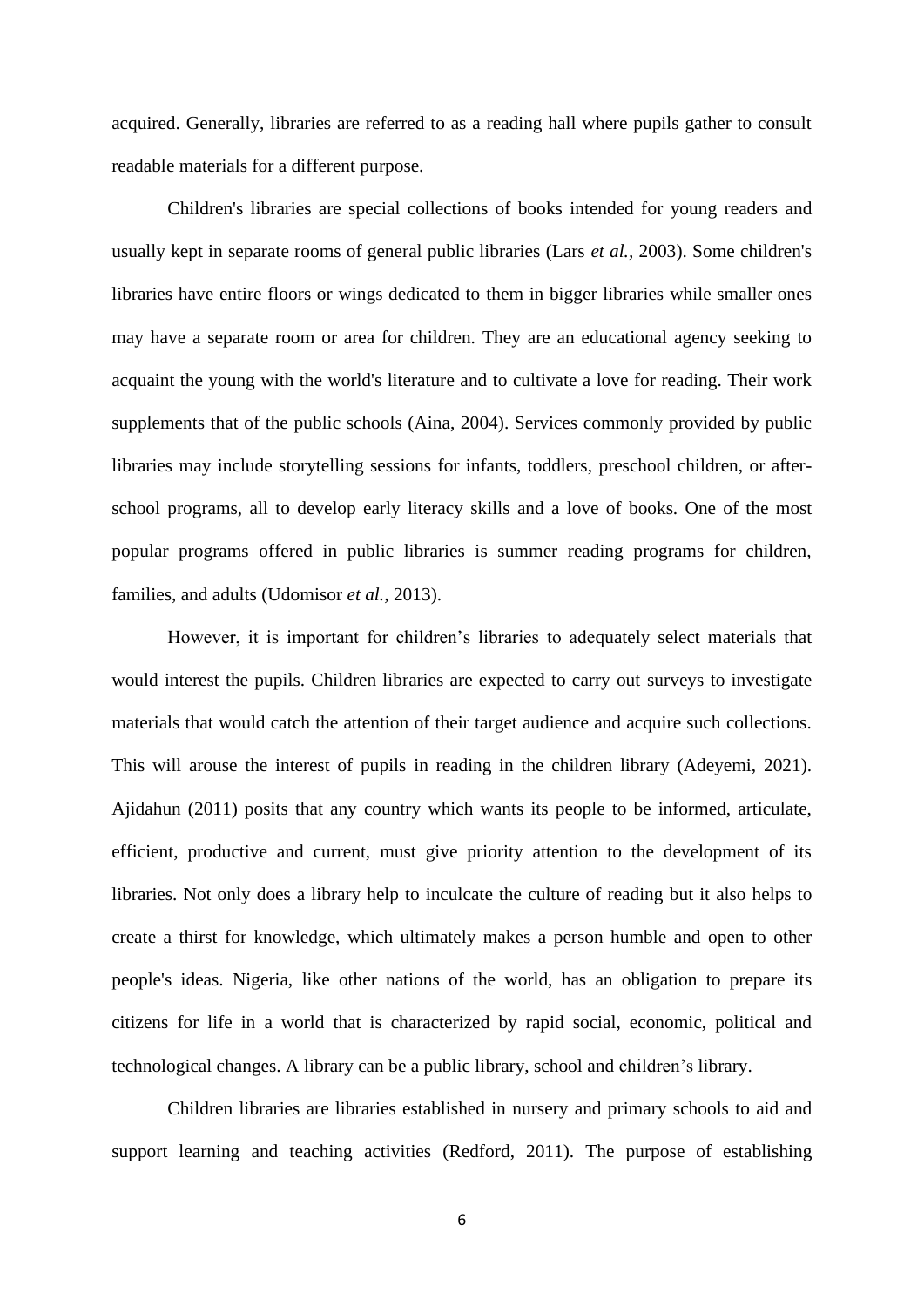acquired. Generally, libraries are referred to as a reading hall where pupils gather to consult readable materials for a different purpose.

Children's libraries are special collections of books intended for young readers and usually kept in separate rooms of general public libraries (Lars *et al.,* 2003). Some children's libraries have entire floors or wings dedicated to them in bigger libraries while smaller ones may have a separate room or area for children. They are an educational agency seeking to acquaint the young with the world's literature and to cultivate a love for reading. Their work supplements that of the public schools (Aina, 2004). Services commonly provided by public libraries may include storytelling sessions for infants, toddlers, preschool children, or afterschool programs, all to develop early literacy skills and a love of books. One of the most popular programs offered in public libraries is summer reading programs for children, families, and adults (Udomisor *et al.,* 2013).

However, it is important for children's libraries to adequately select materials that would interest the pupils. Children libraries are expected to carry out surveys to investigate materials that would catch the attention of their target audience and acquire such collections. This will arouse the interest of pupils in reading in the children library (Adeyemi, 2021). Ajidahun (2011) posits that any country which wants its people to be informed, articulate, efficient, productive and current, must give priority attention to the development of its libraries. Not only does a library help to inculcate the culture of reading but it also helps to create a thirst for knowledge, which ultimately makes a person humble and open to other people's ideas. Nigeria, like other nations of the world, has an obligation to prepare its citizens for life in a world that is characterized by rapid social, economic, political and technological changes. A library can be a public library, school and children's library.

Children libraries are libraries established in nursery and primary schools to aid and support learning and teaching activities (Redford, 2011). The purpose of establishing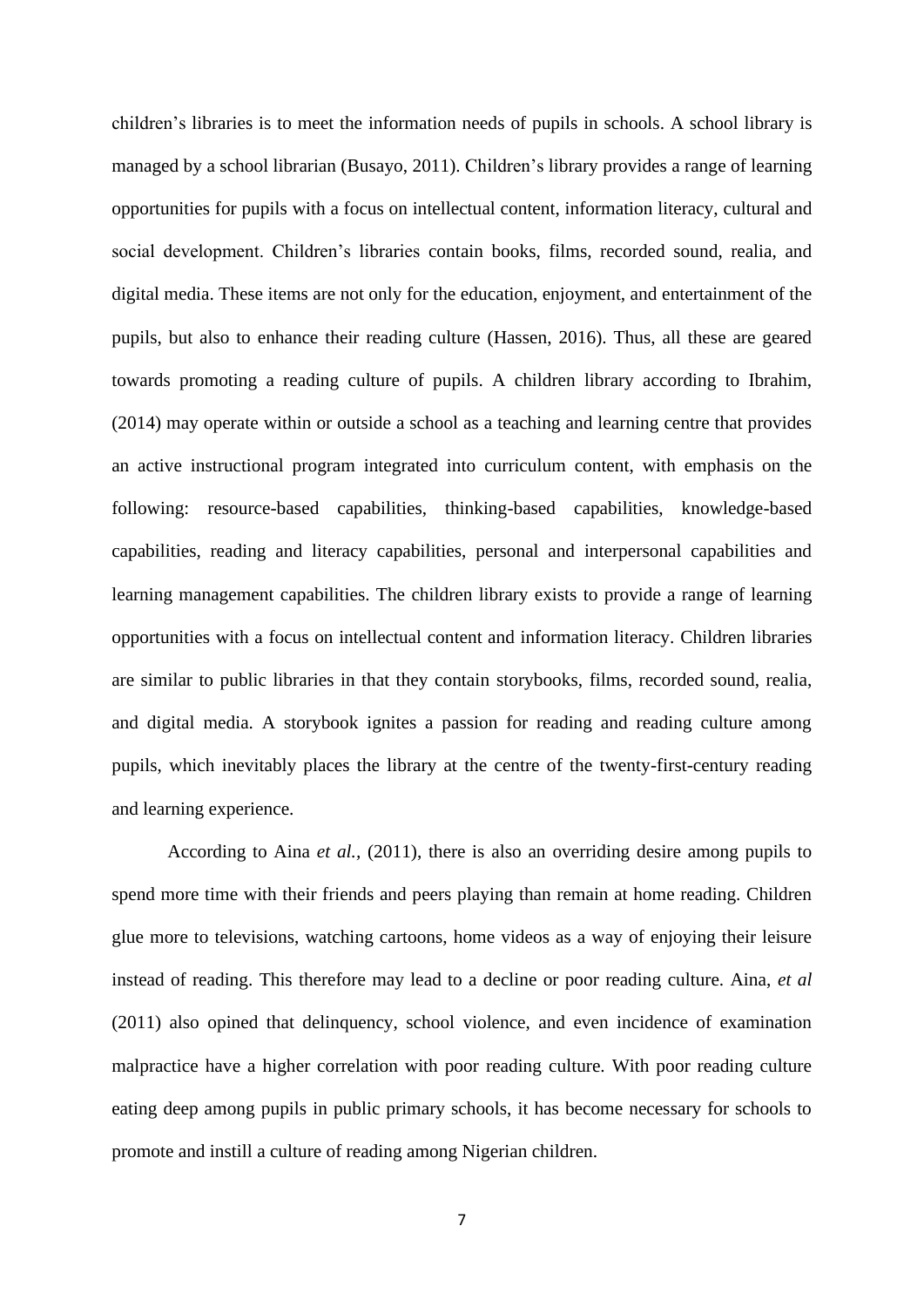children's libraries is to meet the information needs of pupils in schools. A school library is managed by a school librarian (Busayo, 2011). Children's library provides a range of learning opportunities for pupils with a focus on intellectual content, information literacy, cultural and social development. Children's libraries contain books, films, recorded sound, realia, and digital media. These items are not only for the education, enjoyment, and entertainment of the pupils, but also to enhance their reading culture (Hassen, 2016). Thus, all these are geared towards promoting a reading culture of pupils. A children library according to Ibrahim, (2014) may operate within or outside a school as a teaching and learning centre that provides an active instructional program integrated into curriculum content, with emphasis on the following: resource-based capabilities, thinking-based capabilities, knowledge-based capabilities, reading and literacy capabilities, personal and interpersonal capabilities and learning management capabilities. The children library exists to provide a range of learning opportunities with a focus on intellectual content and information literacy. Children libraries are similar to public libraries in that they contain storybooks, films, recorded sound, realia, and digital media. A storybook ignites a passion for reading and reading culture among pupils, which inevitably places the library at the centre of the twenty-first-century reading and learning experience.

According to Aina *et al.,* (2011), there is also an overriding desire among pupils to spend more time with their friends and peers playing than remain at home reading. Children glue more to televisions, watching cartoons, home videos as a way of enjoying their leisure instead of reading. This therefore may lead to a decline or poor reading culture. Aina, *et al* (2011) also opined that delinquency, school violence, and even incidence of examination malpractice have a higher correlation with poor reading culture. With poor reading culture eating deep among pupils in public primary schools, it has become necessary for schools to promote and instill a culture of reading among Nigerian children.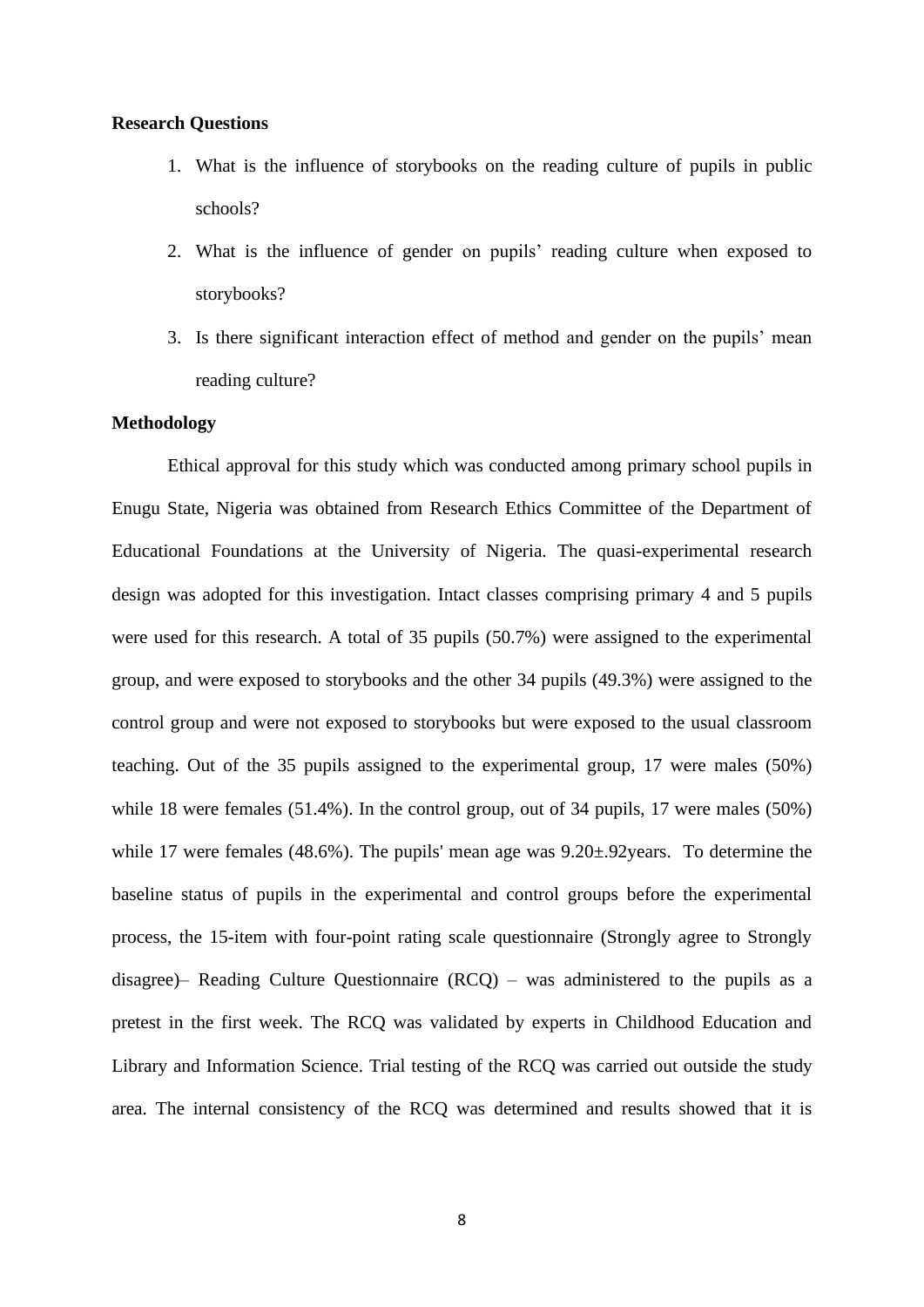#### **Research Questions**

- 1. What is the influence of storybooks on the reading culture of pupils in public schools?
- 2. What is the influence of gender on pupils' reading culture when exposed to storybooks?
- 3. Is there significant interaction effect of method and gender on the pupils' mean reading culture?

#### **Methodology**

Ethical approval for this study which was conducted among primary school pupils in Enugu State, Nigeria was obtained from Research Ethics Committee of the Department of Educational Foundations at the University of Nigeria. The quasi-experimental research design was adopted for this investigation. Intact classes comprising primary 4 and 5 pupils were used for this research. A total of 35 pupils (50.7%) were assigned to the experimental group, and were exposed to storybooks and the other 34 pupils (49.3%) were assigned to the control group and were not exposed to storybooks but were exposed to the usual classroom teaching. Out of the 35 pupils assigned to the experimental group, 17 were males (50%) while 18 were females (51.4%). In the control group, out of 34 pupils, 17 were males (50%) while 17 were females (48.6%). The pupils' mean age was  $9.20 \pm .92$  years. To determine the baseline status of pupils in the experimental and control groups before the experimental process, the 15-item with four-point rating scale questionnaire (Strongly agree to Strongly disagree)– Reading Culture Questionnaire (RCQ) – was administered to the pupils as a pretest in the first week. The RCQ was validated by experts in Childhood Education and Library and Information Science. Trial testing of the RCQ was carried out outside the study area. The internal consistency of the RCQ was determined and results showed that it is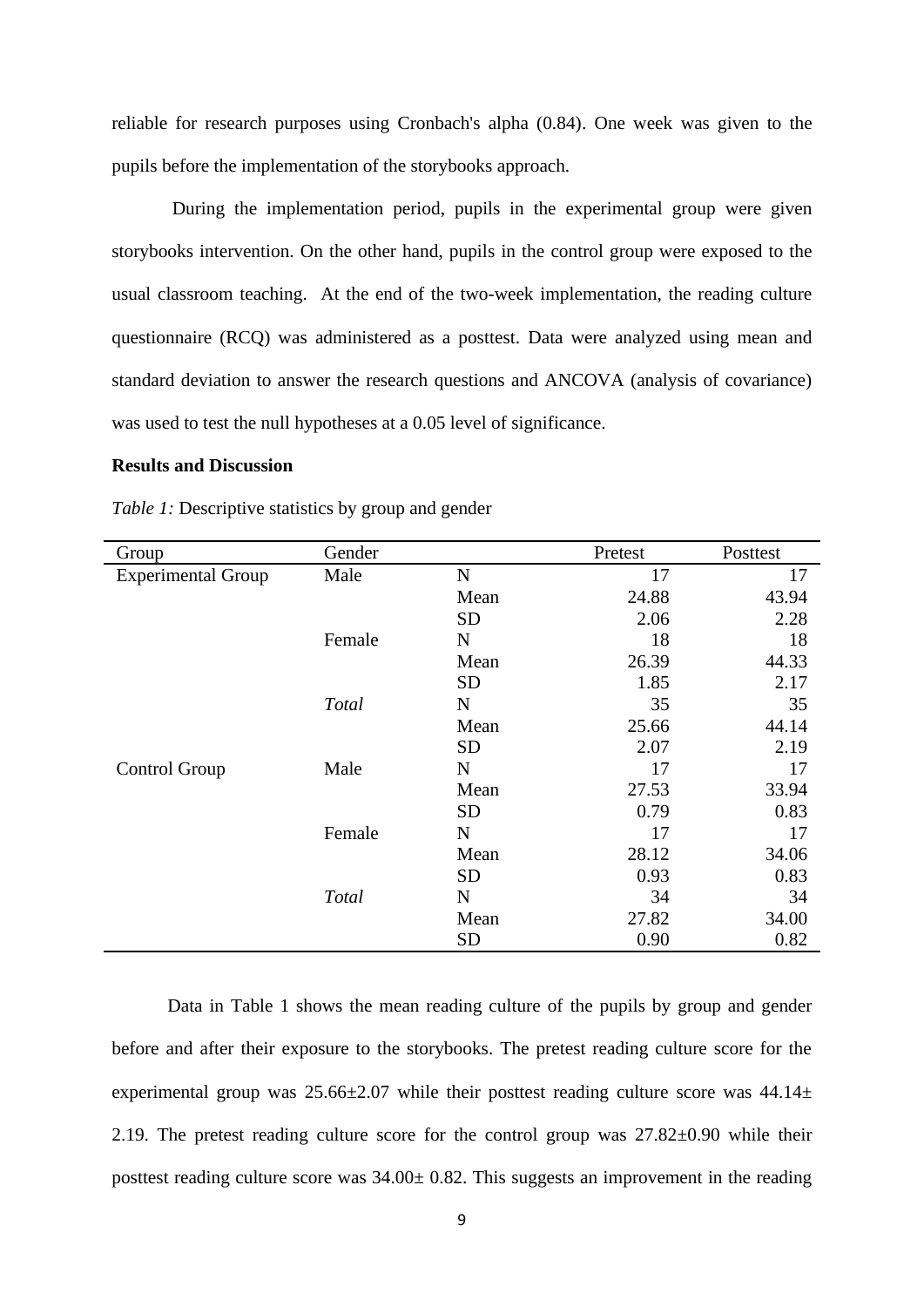reliable for research purposes using Cronbach's alpha (0.84). One week was given to the pupils before the implementation of the storybooks approach.

During the implementation period, pupils in the experimental group were given storybooks intervention. On the other hand, pupils in the control group were exposed to the usual classroom teaching. At the end of the two-week implementation, the reading culture questionnaire (RCQ) was administered as a posttest. Data were analyzed using mean and standard deviation to answer the research questions and ANCOVA (analysis of covariance) was used to test the null hypotheses at a 0.05 level of significance.

#### **Results and Discussion**

| Group                     | Gender |             | Pretest | Posttest |
|---------------------------|--------|-------------|---------|----------|
| <b>Experimental Group</b> | Male   | ${\bf N}$   | 17      | 17       |
|                           |        | Mean        | 24.88   | 43.94    |
|                           |        | <b>SD</b>   | 2.06    | 2.28     |
|                           | Female | $\mathbf N$ | 18      | 18       |
|                           |        | Mean        | 26.39   | 44.33    |
|                           |        | <b>SD</b>   | 1.85    | 2.17     |
|                           | Total  | ${\bf N}$   | 35      | 35       |
|                           |        | Mean        | 25.66   | 44.14    |
|                           |        | <b>SD</b>   | 2.07    | 2.19     |
| Control Group             | Male   | $\mathbf N$ | 17      | 17       |
|                           |        | Mean        | 27.53   | 33.94    |
|                           |        | <b>SD</b>   | 0.79    | 0.83     |
|                           | Female | ${\bf N}$   | 17      | 17       |
|                           |        | Mean        | 28.12   | 34.06    |
|                           |        | <b>SD</b>   | 0.93    | 0.83     |
|                           | Total  | ${\bf N}$   | 34      | 34       |
|                           |        | Mean        | 27.82   | 34.00    |
|                           |        | <b>SD</b>   | 0.90    | 0.82     |

*Table 1:* Descriptive statistics by group and gender

Data in Table 1 shows the mean reading culture of the pupils by group and gender before and after their exposure to the storybooks. The pretest reading culture score for the experimental group was  $25.66\pm2.07$  while their posttest reading culture score was  $44.14\pm$ 2.19. The pretest reading culture score for the control group was 27.82±0.90 while their posttest reading culture score was 34.00± 0.82. This suggests an improvement in the reading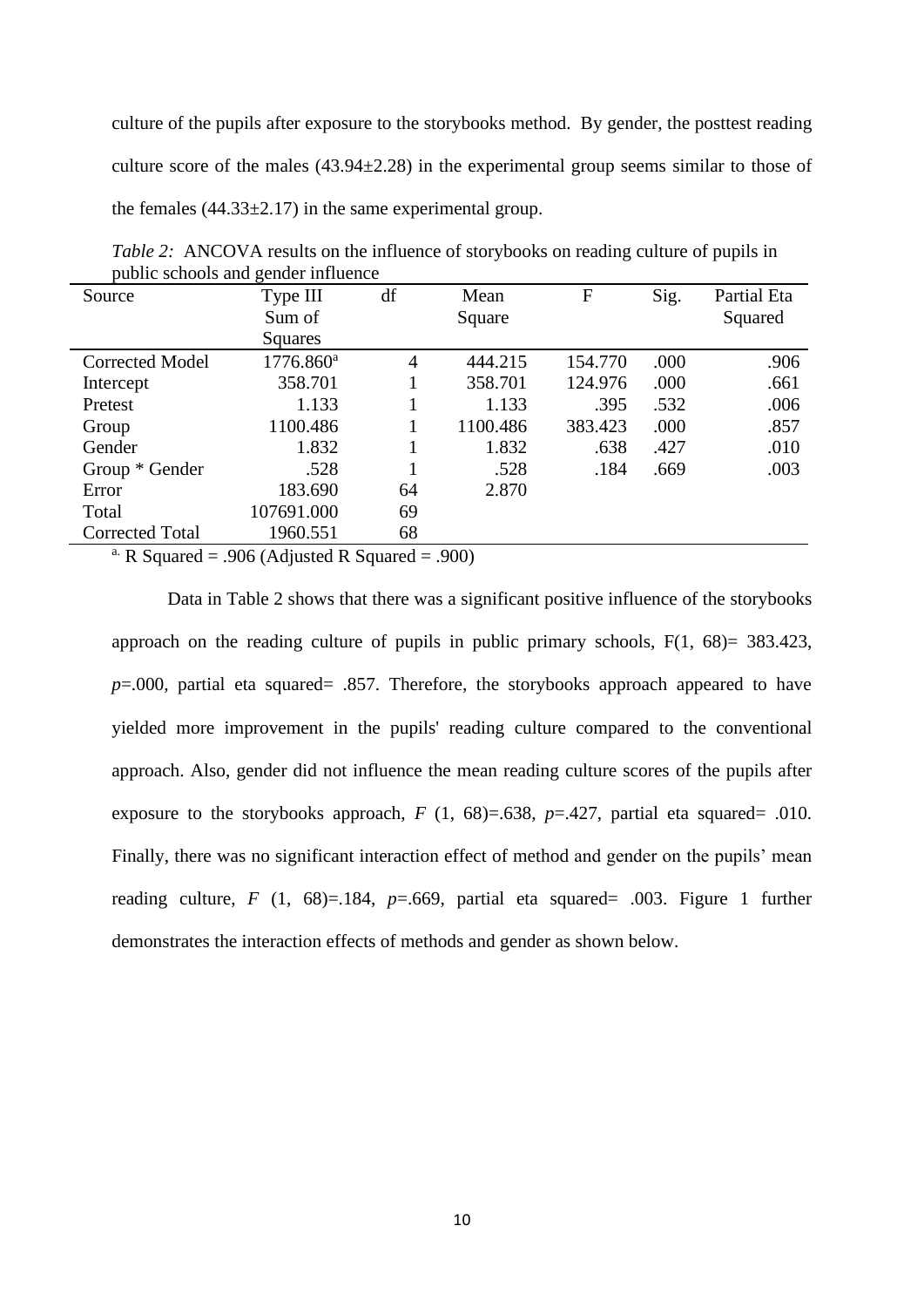culture of the pupils after exposure to the storybooks method. By gender, the posttest reading culture score of the males  $(43.94 \pm 2.28)$  in the experimental group seems similar to those of the females  $(44.33\pm 2.17)$  in the same experimental group.

|                        | public schools and genuer influence      |            |          |         |      |             |
|------------------------|------------------------------------------|------------|----------|---------|------|-------------|
| Source                 | Type III                                 | df<br>Mean |          | F       | Sig. | Partial Eta |
|                        | Sum of                                   | Square     |          |         |      | Squared     |
|                        | Squares                                  |            |          |         |      |             |
| <b>Corrected Model</b> | $1776.860$ <sup>a</sup>                  | 4          | 444.215  | 154.770 | .000 | .906        |
| Intercept              | 358.701                                  |            | 358.701  | 124.976 | .000 | .661        |
| Pretest                | 1.133                                    |            | 1.133    | .395    | .532 | .006        |
| Group                  | 1100.486                                 |            | 1100.486 | 383.423 | .000 | .857        |
| Gender                 | 1.832                                    |            | 1.832    | .638    | .427 | .010        |
| Group * Gender         | .528                                     |            | .528     | .184    | .669 | .003        |
| Error                  | 183.690                                  | 64         | 2.870    |         |      |             |
| Total                  | 107691.000                               | 69         |          |         |      |             |
| <b>Corrected Total</b> | 1960.551                                 | 68         |          |         |      |             |
| $\Omega$ $\Omega$      | $\sim$ 1 000 $\sim$ 11 $\sim$ 1 $\sim$ 0 | - 1        | $\Omega$ |         |      |             |

*Table 2:* ANCOVA results on the influence of storybooks on reading culture of pupils in public schools and gender influence

<sup>a.</sup> R Squared = .906 (Adjusted R Squared = .900)

Data in Table 2 shows that there was a significant positive influence of the storybooks approach on the reading culture of pupils in public primary schools,  $F(1, 68) = 383.423$ , *p*=.000, partial eta squared= .857. Therefore, the storybooks approach appeared to have yielded more improvement in the pupils' reading culture compared to the conventional approach. Also, gender did not influence the mean reading culture scores of the pupils after exposure to the storybooks approach,  $F(1, 68) = .638$ ,  $p = .427$ , partial eta squared= .010. Finally, there was no significant interaction effect of method and gender on the pupils' mean reading culture,  $F(1, 68)=184$ ,  $p=.669$ , partial eta squared= .003. Figure 1 further demonstrates the interaction effects of methods and gender as shown below.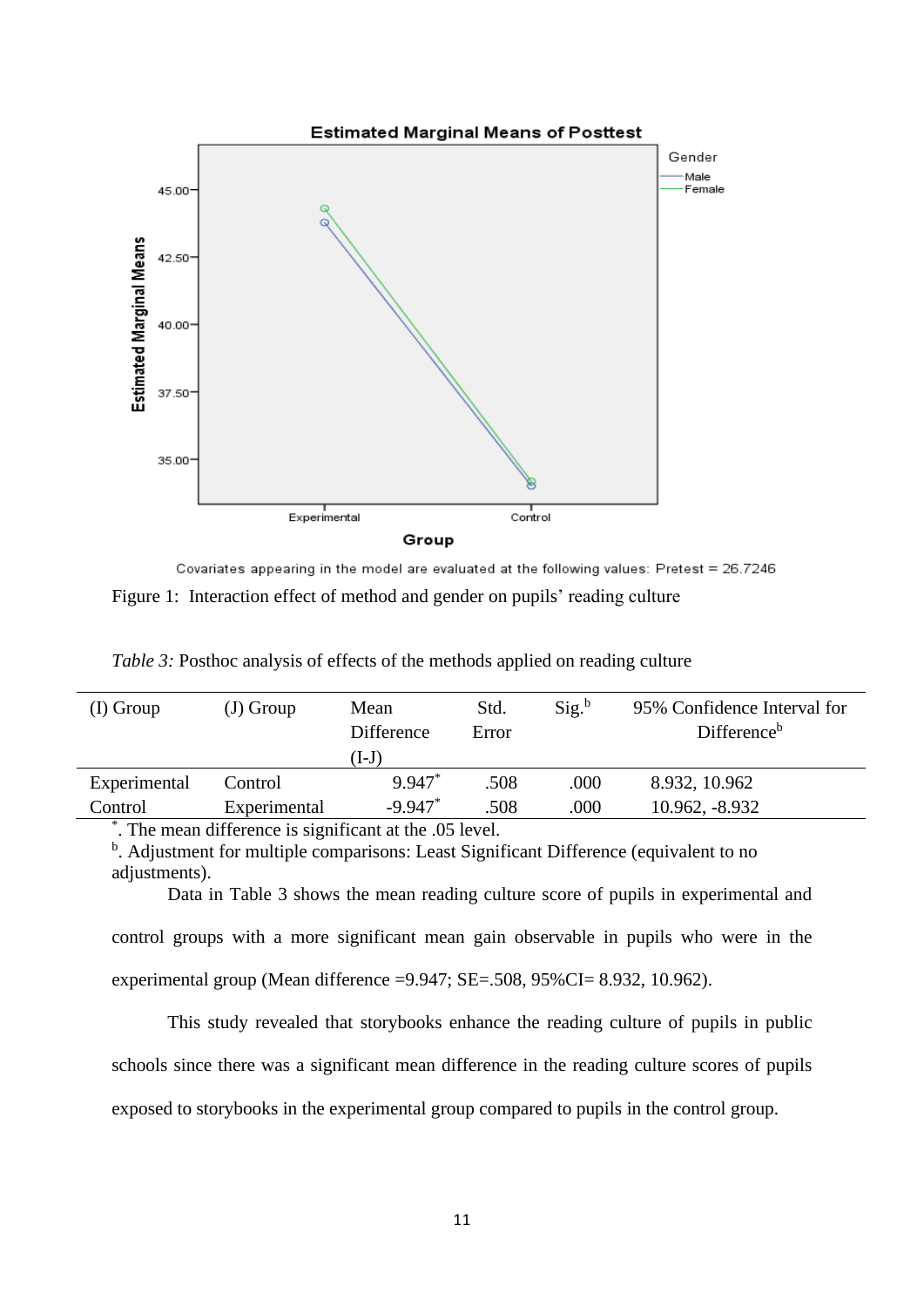

Covariates appearing in the model are evaluated at the following values: Pretest = 26.7246 Figure 1: Interaction effect of method and gender on pupils' reading culture

| $(I)$ Group  | $(J)$ Group                   | Mean<br>Difference<br>$(I-J)$ | Std.<br>Error | Sig. <sup>b</sup> | 95% Confidence Interval for<br>Difference <sup>b</sup> |
|--------------|-------------------------------|-------------------------------|---------------|-------------------|--------------------------------------------------------|
| Experimental | Control                       | 9.947*                        | .508          | .000              | 8.932, 10.962                                          |
| Control      | Experimental                  | $-9.947$ *                    | .508          | .000              | 10.962, -8.932                                         |
| $\ast$ $-$   | $\overline{\phantom{a}}$<br>. |                               |               |                   |                                                        |

*Table 3:* Posthoc analysis of effects of the methods applied on reading culture

\* . The mean difference is significant at the .05 level.

<sup>b</sup>. Adjustment for multiple comparisons: Least Significant Difference (equivalent to no adjustments).

Data in Table 3 shows the mean reading culture score of pupils in experimental and control groups with a more significant mean gain observable in pupils who were in the experimental group (Mean difference =9.947; SE=.508, 95%CI= 8.932, 10.962).

This study revealed that storybooks enhance the reading culture of pupils in public schools since there was a significant mean difference in the reading culture scores of pupils exposed to storybooks in the experimental group compared to pupils in the control group.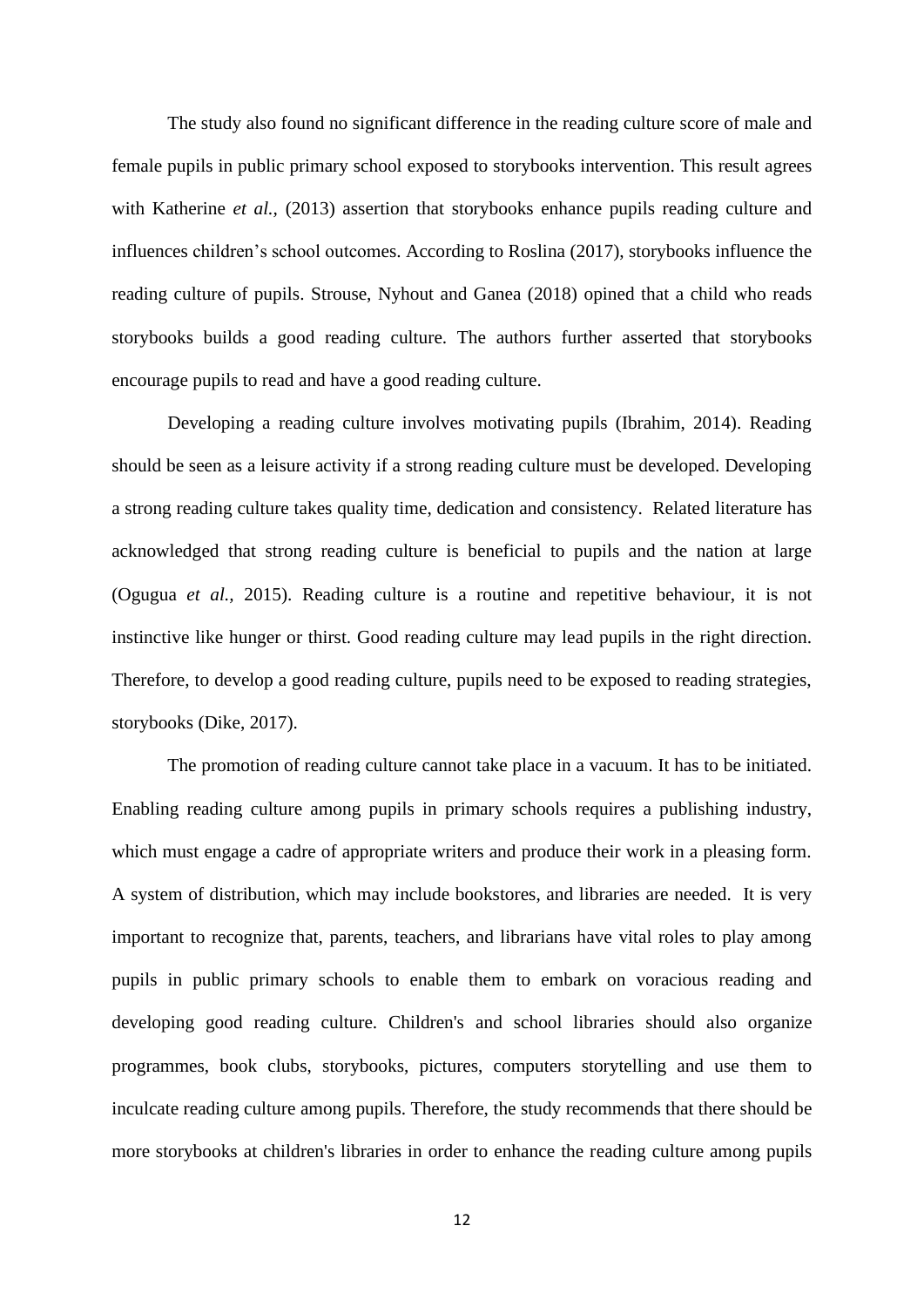The study also found no significant difference in the reading culture score of male and female pupils in public primary school exposed to storybooks intervention. This result agrees with Katherine *et al.*, (2013) assertion that storybooks enhance pupils reading culture and influences children's school outcomes. According to Roslina (2017), storybooks influence the reading culture of pupils. Strouse, Nyhout and Ganea (2018) opined that a child who reads storybooks builds a good reading culture. The authors further asserted that storybooks encourage pupils to read and have a good reading culture.

Developing a reading culture involves motivating pupils (Ibrahim, 2014). Reading should be seen as a leisure activity if a strong reading culture must be developed. Developing a strong reading culture takes quality time, dedication and consistency. Related literature has acknowledged that strong reading culture is beneficial to pupils and the nation at large (Ogugua *et al.,* 2015). Reading culture is a routine and repetitive behaviour, it is not instinctive like hunger or thirst. Good reading culture may lead pupils in the right direction. Therefore, to develop a good reading culture, pupils need to be exposed to reading strategies, storybooks (Dike, 2017).

The promotion of reading culture cannot take place in a vacuum. It has to be initiated. Enabling reading culture among pupils in primary schools requires a publishing industry, which must engage a cadre of appropriate writers and produce their work in a pleasing form. A system of distribution, which may include bookstores, and libraries are needed. It is very important to recognize that, parents, teachers, and librarians have vital roles to play among pupils in public primary schools to enable them to embark on voracious reading and developing good reading culture. Children's and school libraries should also organize programmes, book clubs, storybooks, pictures, computers storytelling and use them to inculcate reading culture among pupils. Therefore, the study recommends that there should be more storybooks at children's libraries in order to enhance the reading culture among pupils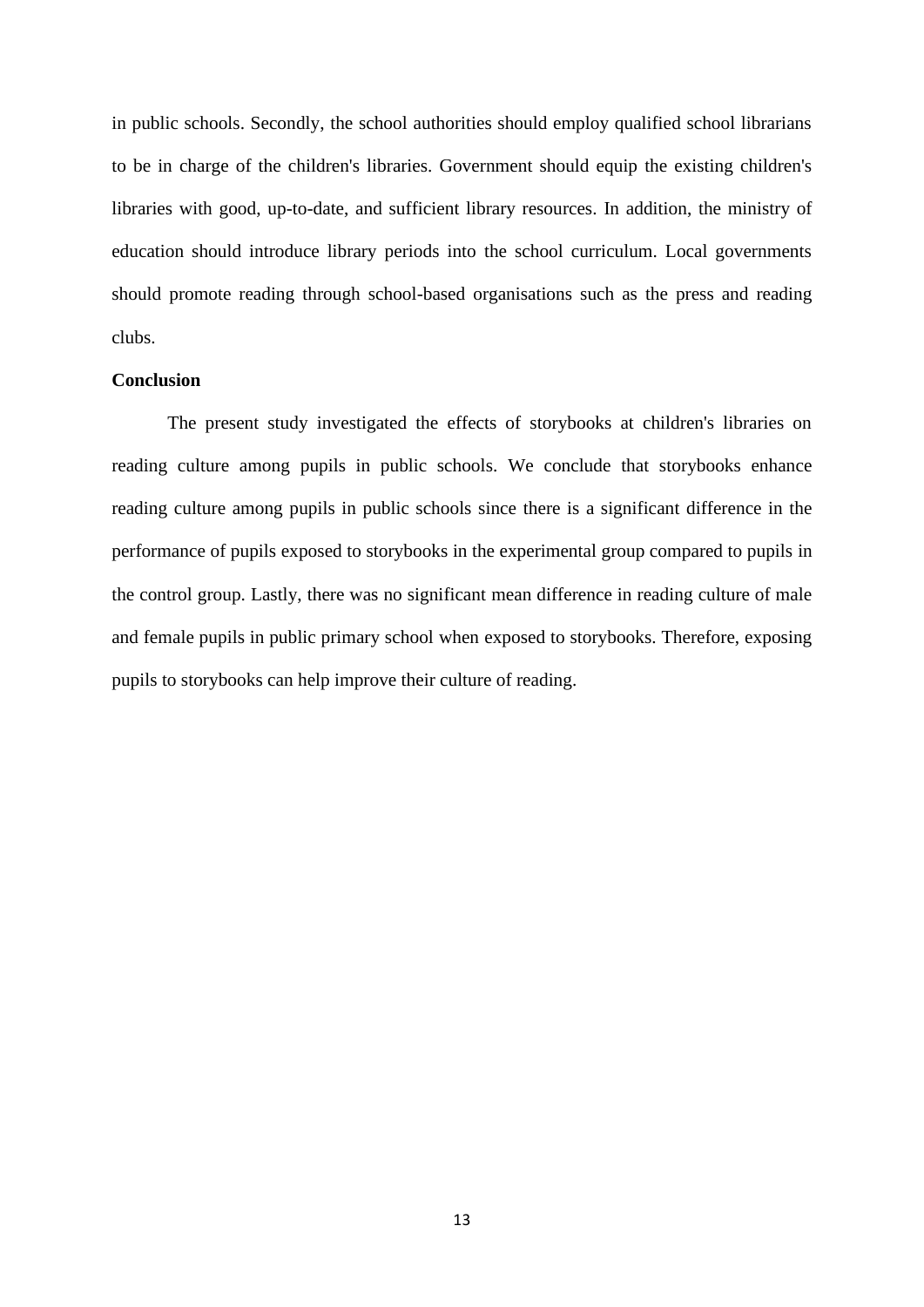in public schools. Secondly, the school authorities should employ qualified school librarians to be in charge of the children's libraries. Government should equip the existing children's libraries with good, up-to-date, and sufficient library resources. In addition, the ministry of education should introduce library periods into the school curriculum. Local governments should promote reading through school-based organisations such as the press and reading clubs.

#### **Conclusion**

The present study investigated the effects of storybooks at children's libraries on reading culture among pupils in public schools. We conclude that storybooks enhance reading culture among pupils in public schools since there is a significant difference in the performance of pupils exposed to storybooks in the experimental group compared to pupils in the control group. Lastly, there was no significant mean difference in reading culture of male and female pupils in public primary school when exposed to storybooks. Therefore, exposing pupils to storybooks can help improve their culture of reading.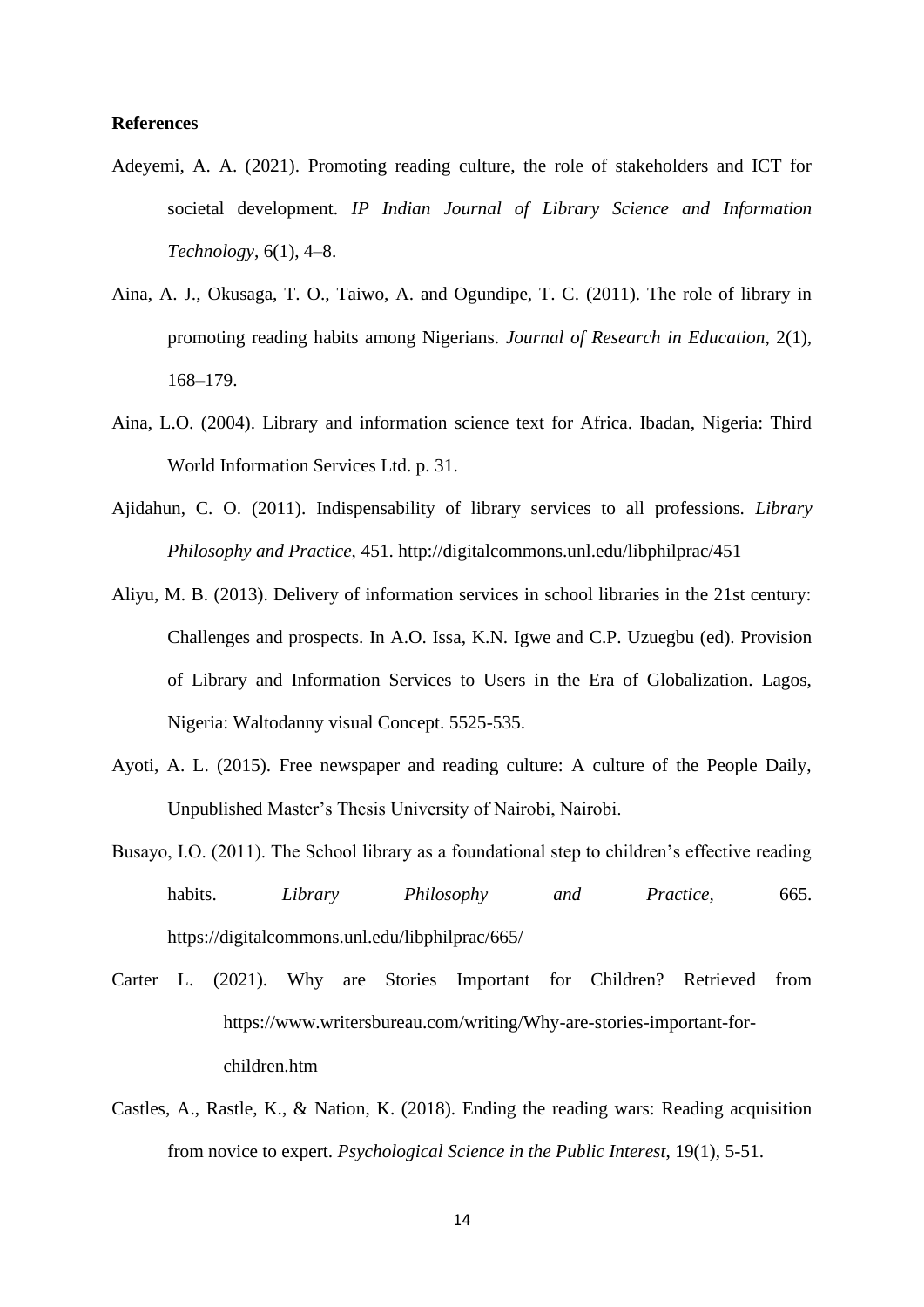#### **References**

- Adeyemi, A. A. (2021). Promoting reading culture, the role of stakeholders and ICT for societal development. *IP Indian Journal of Library Science and Information Technology*, 6(1), 4–8.
- Aina, A. J., Okusaga, T. O., Taiwo, A. and Ogundipe, T. C. (2011). The role of library in promoting reading habits among Nigerians. *Journal of Research in Education*, 2(1), 168–179.
- Aina, L.O. (2004). Library and information science text for Africa. Ibadan, Nigeria: Third World Information Services Ltd. p. 31.
- Ajidahun, C. O. (2011). Indispensability of library services to all professions. *Library Philosophy and Practice*, 451.<http://digitalcommons.unl.edu/libphilprac/451>
- Aliyu, M. B. (2013). Delivery of information services in school libraries in the 21st century: Challenges and prospects. In A.O. Issa, K.N. Igwe and C.P. Uzuegbu (ed). Provision of Library and Information Services to Users in the Era of Globalization. Lagos, Nigeria: Waltodanny visual Concept. 5525-535.
- Ayoti, A. L. (2015). Free newspaper and reading culture: A culture of the People Daily, Unpublished Master's Thesis University of Nairobi, Nairobi.
- Busayo, I.O. (2011). The School library as a foundational step to children's effective reading habits. *Library Philosophy and Practice,* 665. https://digitalcommons.unl.edu/libphilprac/665/
- Carter L. (2021). Why are Stories Important for Children? Retrieved from [https://www.writersbureau.com/writing/Why-are-stories-important-for](https://www.writersbureau.com/writing/Why-are-stories-important-for-)children.htm
- Castles, A., Rastle, K., & Nation, K. (2018). Ending the reading wars: Reading acquisition from novice to expert. *Psychological Science in the Public Interest*, 19(1), 5-51.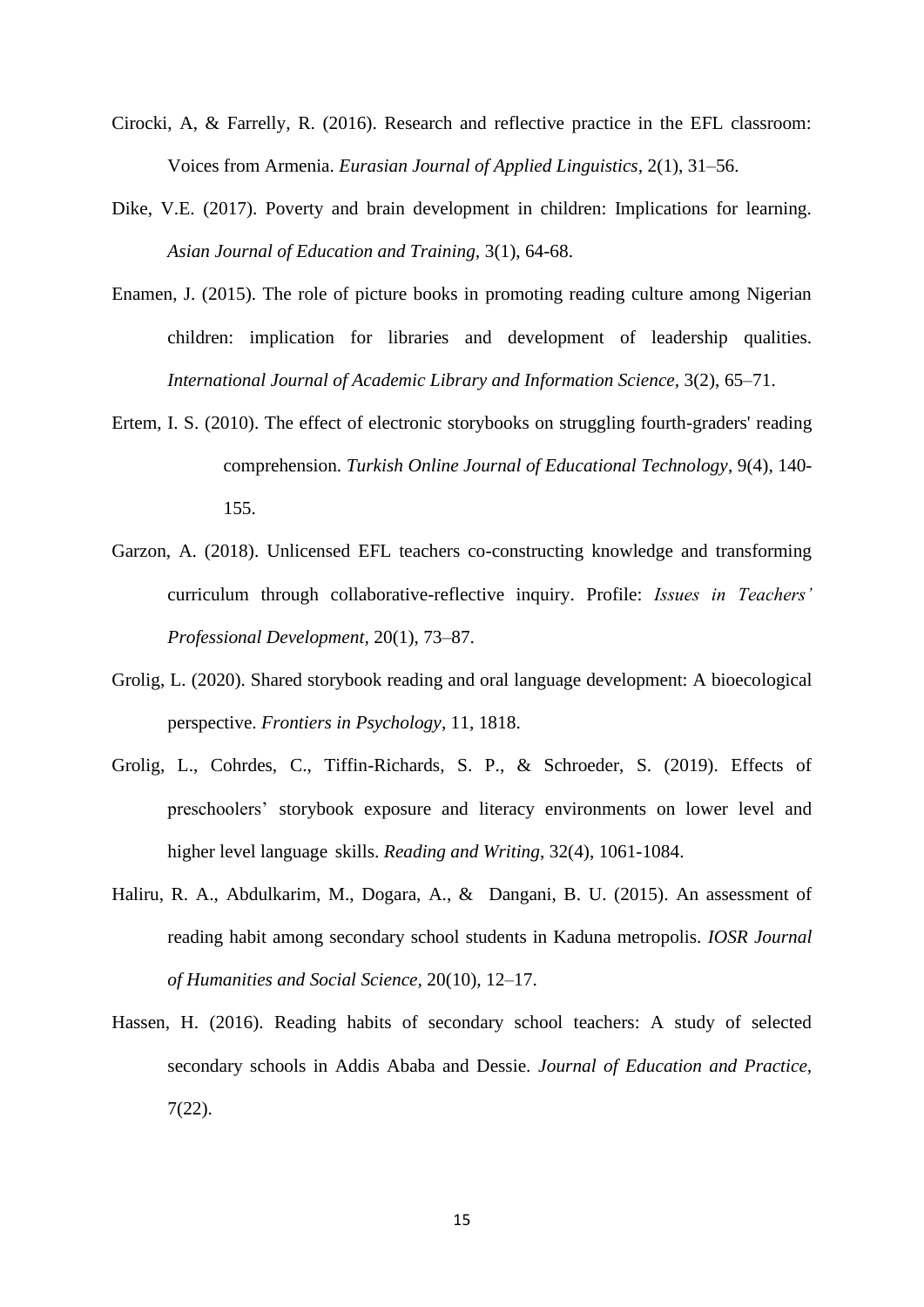- Cirocki, A, & Farrelly, R. (2016). Research and reflective practice in the EFL classroom: Voices from Armenia. *Eurasian Journal of Applied Linguistics,* 2(1), 31–56.
- Dike, V.E. (2017). Poverty and brain development in children: Implications for learning. *Asian Journal of Education and Training,* 3(1), 64-68.
- Enamen, J. (2015). The role of picture books in promoting reading culture among Nigerian children: implication for libraries and development of leadership qualities. *International Journal of Academic Library and Information Science,* 3(2), 65–71.
- Ertem, I. S. (2010). The effect of electronic storybooks on struggling fourth-graders' reading comprehension. *Turkish Online Journal of Educational Technology*, 9(4), 140- 155.
- Garzon, A. (2018). Unlicensed EFL teachers co-constructing knowledge and transforming curriculum through collaborative-reflective inquiry. Profile: *Issues in Teachers' Professional Development,* 20(1), 73–87.
- Grolig, L. (2020). Shared storybook reading and oral language development: A bioecological perspective. *Frontiers in Psychology*, 11, 1818.
- Grolig, L., Cohrdes, C., Tiffin-Richards, S. P., & Schroeder, S. (2019). Effects of preschoolers' storybook exposure and literacy environments on lower level and higher level language skills. *Reading and Writing*, 32(4), 1061-1084.
- Haliru, R. A., Abdulkarim, M., Dogara, A., & Dangani, B. U. (2015). An assessment of reading habit among secondary school students in Kaduna metropolis. *IOSR Journal of Humanities and Social Science,* 20(10), 12–17.
- Hassen, H. (2016). Reading habits of secondary school teachers: A study of selected secondary schools in Addis Ababa and Dessie. *Journal of Education and Practice,*  7(22).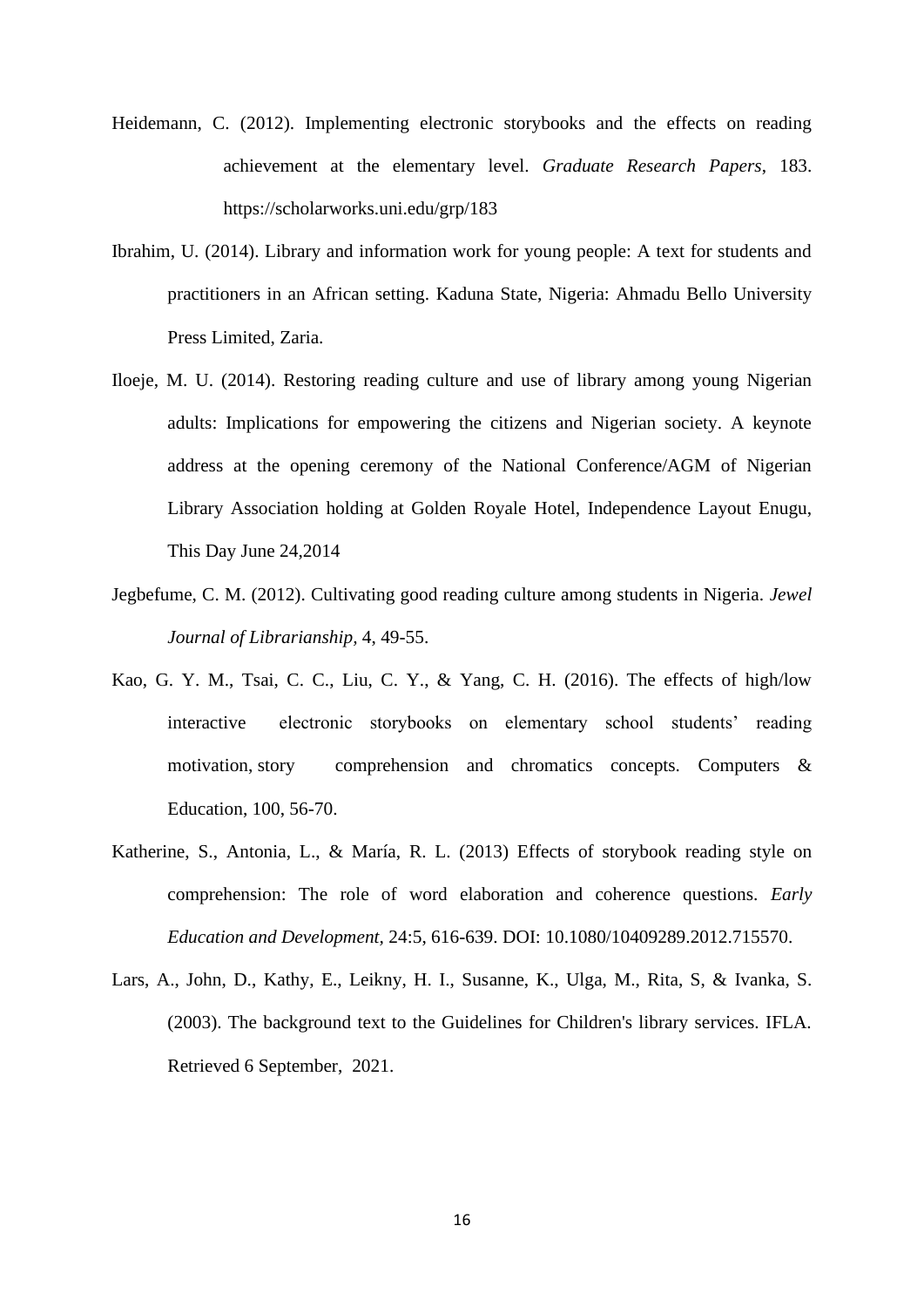- Heidemann, C. (2012). Implementing electronic storybooks and the effects on reading achievement at the elementary level. *Graduate Research Papers*, 183. <https://scholarworks.uni.edu/grp/183>
- Ibrahim, U. (2014). Library and information work for young people: A text for students and practitioners in an African setting. Kaduna State, Nigeria: Ahmadu Bello University Press Limited, Zaria.
- Iloeje, M. U. (2014). Restoring reading culture and use of library among young Nigerian adults: Implications for empowering the citizens and Nigerian society. A keynote address at the opening ceremony of the National Conference/AGM of Nigerian Library Association holding at Golden Royale Hotel, Independence Layout Enugu, This Day June 24,2014
- Jegbefume, C. M. (2012). Cultivating good reading culture among students in Nigeria. *Jewel Journal of Librarianship,* 4, 49-55.
- Kao, G. Y. M., Tsai, C. C., Liu, C. Y., & Yang, C. H. (2016). The effects of high/low interactive electronic storybooks on elementary school students' reading motivation, story comprehension and chromatics concepts. Computers & Education, 100, 56-70.
- Katherine, S., Antonia, L., & María, R. L. (2013) Effects of storybook reading style on comprehension: The role of word elaboration and coherence questions. *Early Education and Development,* 24:5, 616-639. DOI: 10.1080/10409289.2012.715570.
- Lars, A., John, D., Kathy, E., Leikny, H. I., Susanne, K., Ulga, M., Rita, S, & Ivanka, S. (2003). The background text to the Guidelines for Children's library services. IFLA. Retrieved 6 September, 2021.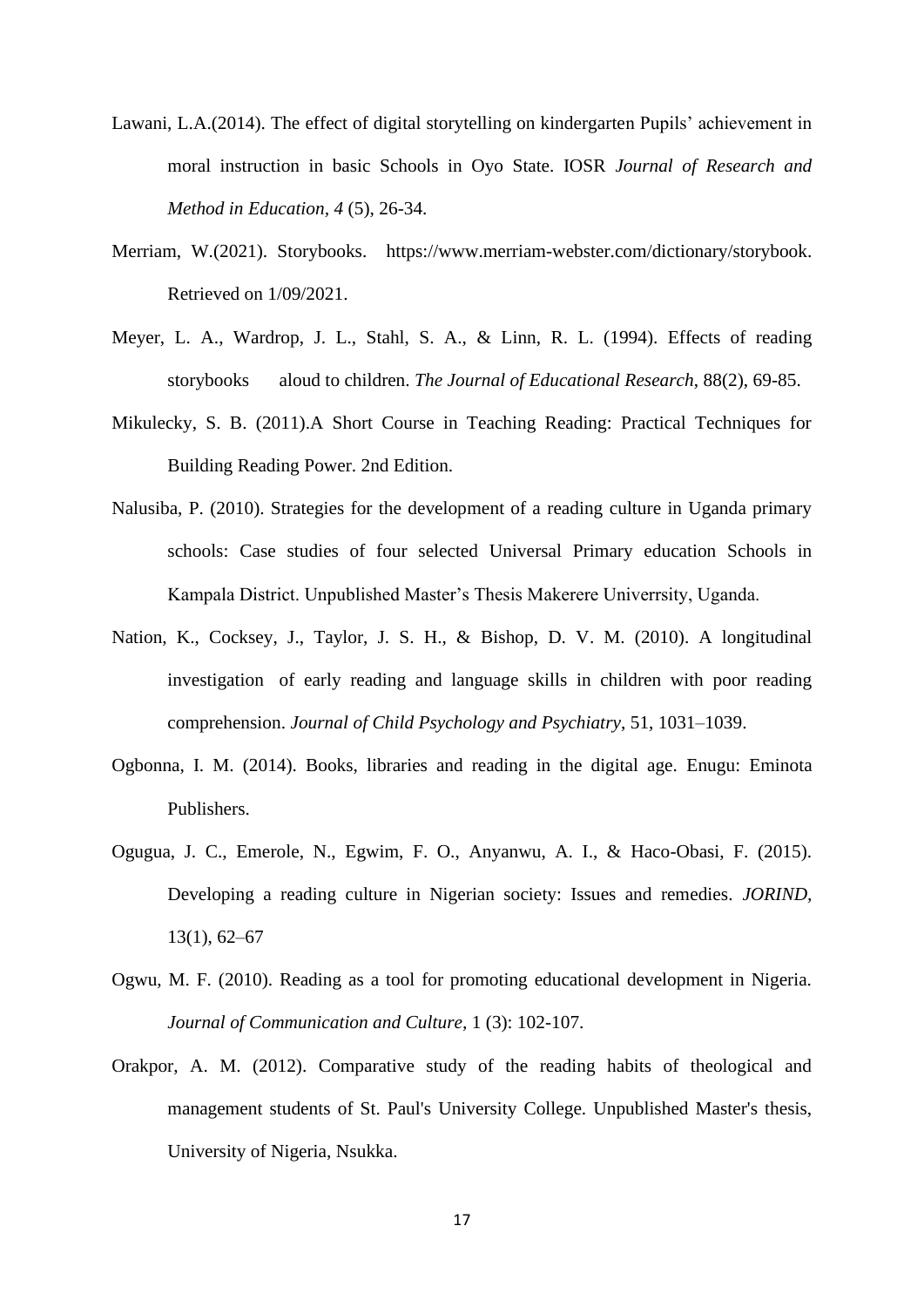- Lawani, L.A.(2014). The effect of digital storytelling on kindergarten Pupils' achievement in moral instruction in basic Schools in Oyo State. IOSR *Journal of Research and Method in Education, 4* (5), 26-34.
- Merriam, W.(2021). Storybooks.[https://www.merriam-webster.com/dictionary/storybook.](https://www.merriam-webster.com/dictionary/storybook.%20Retrieved%20on%201/09/2021) [Retrieved on 1/09/2021.](https://www.merriam-webster.com/dictionary/storybook.%20Retrieved%20on%201/09/2021)
- Meyer, L. A., Wardrop, J. L., Stahl, S. A., & Linn, R. L. (1994). Effects of reading storybooks aloud to children. *The Journal of Educational Research*, 88(2), 69-85.
- Mikulecky, S. B. (2011).A Short Course in Teaching Reading: Practical Techniques for Building Reading Power. 2nd Edition.
- Nalusiba, P. (2010). Strategies for the development of a reading culture in Uganda primary schools: Case studies of four selected Universal Primary education Schools in Kampala District. Unpublished Master's Thesis Makerere Univerrsity, Uganda.
- Nation, K., Cocksey, J., Taylor, J. S. H., & Bishop, D. V. M. (2010). A longitudinal investigation of early reading and language skills in children with poor reading comprehension. *Journal of Child Psychology and Psychiatry*, 51, 1031–1039.
- Ogbonna, I. M. (2014). Books, libraries and reading in the digital age. Enugu: Eminota Publishers.
- Ogugua, J. C., Emerole, N., Egwim, F. O., Anyanwu, A. I., & Haco-Obasi, F. (2015). Developing a reading culture in Nigerian society: Issues and remedies. *JORIND,* 13(1), 62–67
- Ogwu, M. F. (2010). Reading as a tool for promoting educational development in Nigeria. *Journal of Communication and Culture,* 1 (3): 102-107.
- Orakpor, A. M. (2012). Comparative study of the reading habits of theological and management students of St. Paul's University College. Unpublished Master's thesis, University of Nigeria, Nsukka.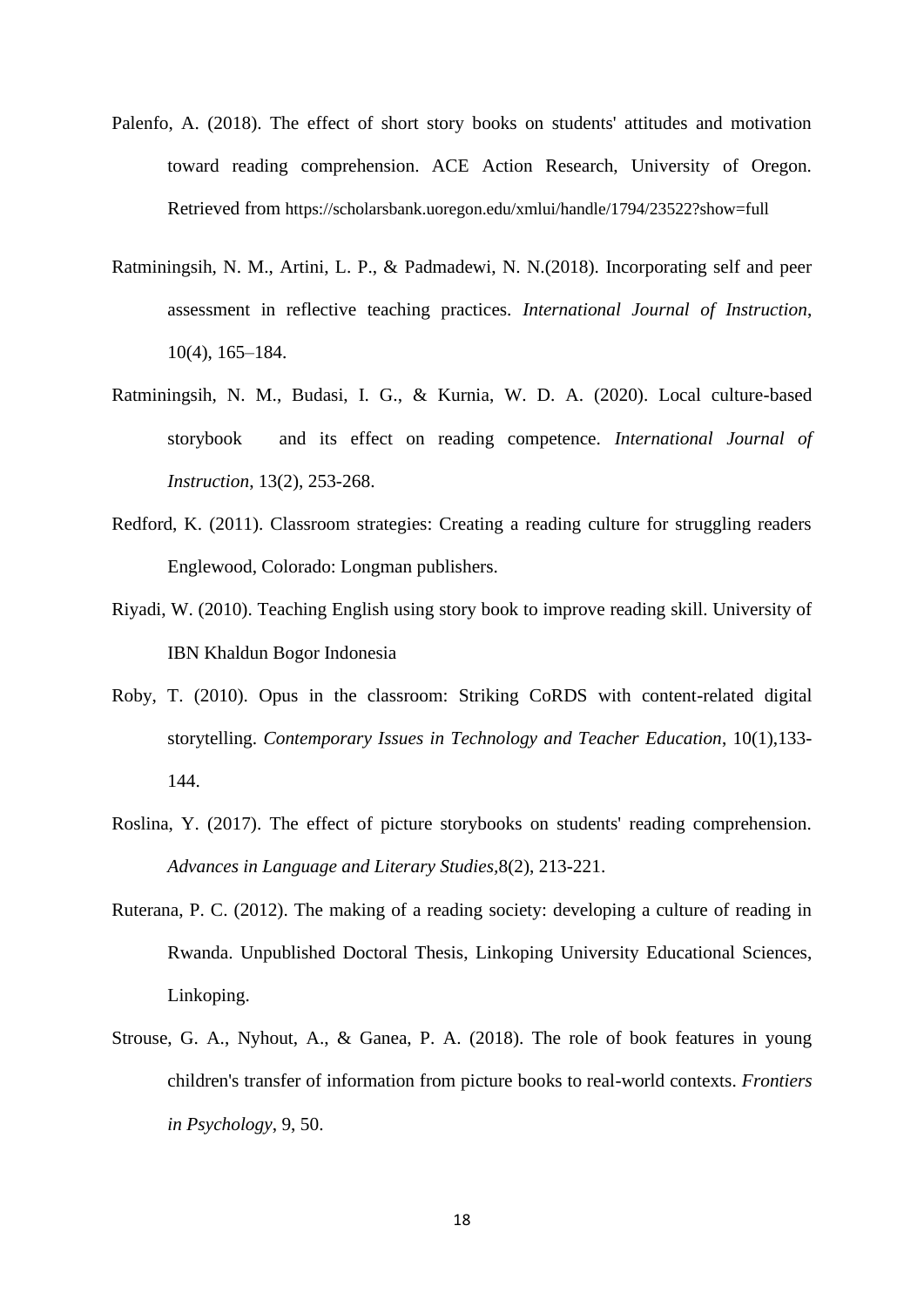- Palenfo, A. (2018). The effect of short story books on students' attitudes and motivation toward reading comprehension. ACE Action Research, University of Oregon. Retrieved from <https://scholarsbank.uoregon.edu/xmlui/handle/1794/23522?show=full>
- Ratminingsih, N. M., Artini, L. P., & Padmadewi, N. N.(2018). Incorporating self and peer assessment in reflective teaching practices. *International Journal of Instruction*, 10(4), 165–184.
- Ratminingsih, N. M., Budasi, I. G., & Kurnia, W. D. A. (2020). Local culture-based storybook and its effect on reading competence. *International Journal of Instruction*, 13(2), 253-268.
- Redford, K. (2011). Classroom strategies: Creating a reading culture for struggling readers Englewood, Colorado: Longman publishers.
- Riyadi, W. (2010). Teaching English using story book to improve reading skill. University of IBN Khaldun Bogor Indonesia
- Roby, T. (2010). Opus in the classroom: Striking CoRDS with content-related digital storytelling. *Contemporary Issues in Technology and Teacher Education*, 10(1),133- 144.
- Roslina, Y. (2017). The effect of picture storybooks on students' reading comprehension. *Advances in Language and Literary Studies,*8(2), 213-221.
- Ruterana, P. C. (2012). The making of a reading society: developing a culture of reading in Rwanda. Unpublished Doctoral Thesis, Linkoping University Educational Sciences, Linkoping.
- Strouse, G. A., Nyhout, A., & Ganea, P. A. (2018). The role of book features in young children's transfer of information from picture books to real-world contexts. *Frontiers in Psychology*, 9, 50.